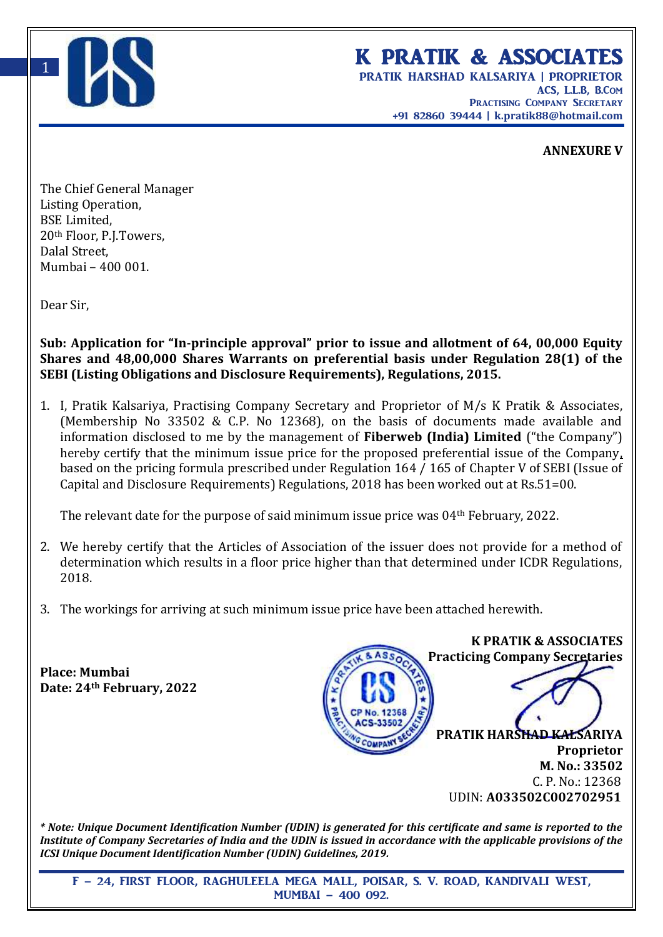

## K PRATIK & ASSOCIATES

PRATIK HARSHAD KALSARIYA | PROPRIETOR ACS, L.L.B, B.Com PRACTISING COMPANY SECRETARY +91 82860 39444 | **k.pratik88@hotmail.com**

## **ANNEXURE V**

The Chief General Manager Listing Operation, BSE Limited, 20th Floor, P.J.Towers, Dalal Street, Mumbai – 400 001.

Dear Sir,

**Sub: Application for "In-principle approval" prior to issue and allotment of 64, 00,000 Equity Shares and 48,00,000 Shares Warrants on preferential basis under Regulation 28(1) of the SEBI (Listing Obligations and Disclosure Requirements), Regulations, 2015.**

1. I, Pratik Kalsariya, Practising Company Secretary and Proprietor of M/s K Pratik & Associates, (Membership No 33502 & C.P. No 12368), on the basis of documents made available and information disclosed to me by the management of **Fiberweb (India) Limited** ("the Company") hereby certify that the minimum issue price for the proposed preferential issue of the Company, based on the pricing formula prescribed under Regulation 164 / 165 of Chapter V of SEBI (Issue of Capital and Disclosure Requirements) Regulations, 2018 has been worked out at Rs.51=00.

The relevant date for the purpose of said minimum issue price was 04th February, 2022.

- 2. We hereby certify that the Articles of Association of the issuer does not provide for a method of determination which results in a floor price higher than that determined under ICDR Regulations, 2018.
- 3. The workings for arriving at such minimum issue price have been attached herewith.

**Place: Mumbai Date: 24th February, 2022**



*\* Note: Unique Document Identification Number (UDIN) is generated for this certificate and same is reported to the Institute of Company Secretaries of India and the UDIN is issued in accordance with the applicable provisions of the ICSI Unique Document Identification Number (UDIN) Guidelines, 2019.*

F – 24, FIRST FLOOR, RAGHULEELA MEGA MALL, POISAR, S. V. ROAD, KANDIVALI WEST, MUMBAI – 400 092.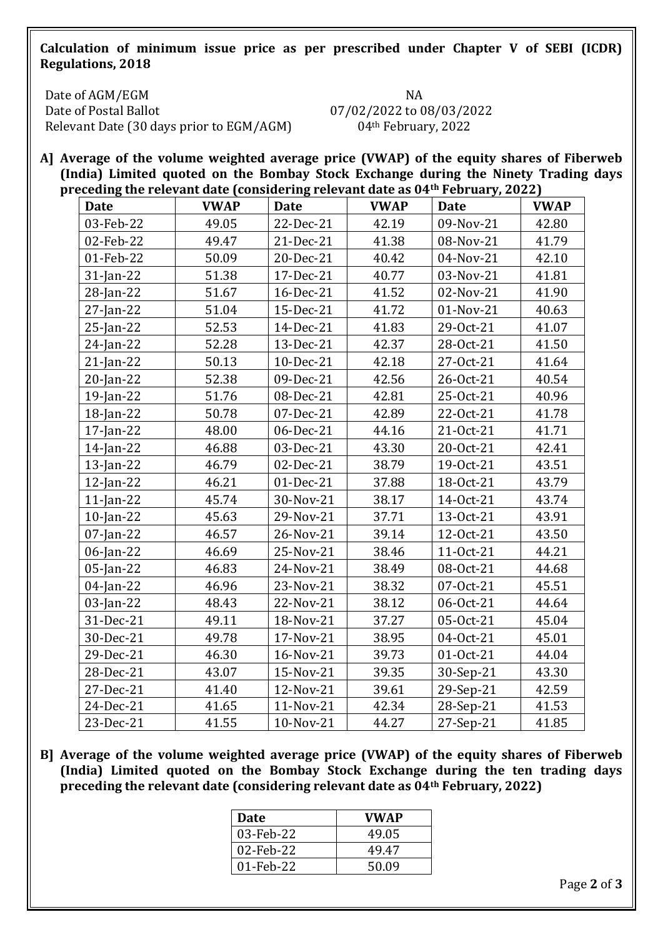**Calculation of minimum issue price as per prescribed under Chapter V of SEBI (ICDR) Regulations, 2018**

Date of AGM/EGM Date of Postal Ballot Relevant Date (30 days prior to EGM/AGM) 04th February, 2022

NA 07/02/2022 to 08/03/2022

**A] Average of the volume weighted average price (VWAP) of the equity shares of Fiberweb (India) Limited quoted on the Bombay Stock Exchange during the Ninety Trading days preceding the relevant date (considering relevant date as 04th February, 2022)**

| - - - - -<br><b>Date</b> | <b>*************</b><br><b>VWAP</b> | <sub>.</sub><br><b>Date</b> | <b>VWAP</b> | $1.901$ mm $J$ $J = 0$<br>Date | <b>VWAP</b> |
|--------------------------|-------------------------------------|-----------------------------|-------------|--------------------------------|-------------|
| 03-Feb-22                | 49.05                               | 22-Dec-21                   | 42.19       | 09-Nov-21                      | 42.80       |
| 02-Feb-22                | 49.47                               | 21-Dec-21                   | 41.38       | 08-Nov-21                      | 41.79       |
| 01-Feb-22                | 50.09                               | 20-Dec-21                   | 40.42       | 04-Nov-21                      | 42.10       |
| 31-Jan-22                | 51.38                               | 17-Dec-21                   | 40.77       | 03-Nov-21                      | 41.81       |
| 28-Jan-22                | 51.67                               | 16-Dec-21                   | 41.52       | 02-Nov-21                      | 41.90       |
| 27-Jan-22                | 51.04                               | 15-Dec-21                   | 41.72       | 01-Nov-21                      | 40.63       |
| 25-Jan-22                | 52.53                               | 14-Dec-21                   | 41.83       | 29-0ct-21                      | 41.07       |
| 24-Jan-22                | 52.28                               | 13-Dec-21                   | 42.37       | 28-Oct-21                      | 41.50       |
| $21$ -Jan-22             | 50.13                               | 10-Dec-21                   | 42.18       | 27-Oct-21                      | 41.64       |
| 20-Jan-22                | 52.38                               | 09-Dec-21                   | 42.56       | 26-Oct-21                      | 40.54       |
| 19-Jan-22                | 51.76                               | 08-Dec-21                   | 42.81       | 25-Oct-21                      | 40.96       |
| 18-Jan-22                | 50.78                               | 07-Dec-21                   | 42.89       | 22-Oct-21                      | 41.78       |
| 17-Jan-22                | 48.00                               | 06-Dec-21                   | 44.16       | 21-Oct-21                      | 41.71       |
| $14$ -Jan-22             | 46.88                               | 03-Dec-21                   | 43.30       | 20-Oct-21                      | 42.41       |
| $13$ -Jan-22             | 46.79                               | 02-Dec-21                   | 38.79       | 19-Oct-21                      | 43.51       |
| $12$ -Jan-22             | 46.21                               | 01-Dec-21                   | 37.88       | 18-Oct-21                      | 43.79       |
| $11$ -Jan-22             | 45.74                               | 30-Nov-21                   | 38.17       | 14-Oct-21                      | 43.74       |
| $10$ -Jan-22             | 45.63                               | 29-Nov-21                   | 37.71       | 13-Oct-21                      | 43.91       |
| $07$ -Jan-22             | 46.57                               | 26-Nov-21                   | 39.14       | 12-Oct-21                      | 43.50       |
| 06-Jan-22                | 46.69                               | 25-Nov-21                   | 38.46       | 11-Oct-21                      | 44.21       |
| 05-Jan-22                | 46.83                               | 24-Nov-21                   | 38.49       | 08-Oct-21                      | 44.68       |
| 04-Jan-22                | 46.96                               | 23-Nov-21                   | 38.32       | 07-Oct-21                      | 45.51       |
| 03-Jan-22                | 48.43                               | 22-Nov-21                   | 38.12       | 06-Oct-21                      | 44.64       |
| 31-Dec-21                | 49.11                               | 18-Nov-21                   | 37.27       | 05-Oct-21                      | 45.04       |
| 30-Dec-21                | 49.78                               | 17-Nov-21                   | 38.95       | 04-0ct-21                      | 45.01       |
| 29-Dec-21                | 46.30                               | 16-Nov-21                   | 39.73       | 01-Oct-21                      | 44.04       |
| 28-Dec-21                | 43.07                               | 15-Nov-21                   | 39.35       | 30-Sep-21                      | 43.30       |
| 27-Dec-21                | 41.40                               | 12-Nov-21                   | 39.61       | 29-Sep-21                      | 42.59       |
| 24-Dec-21                | 41.65                               | 11-Nov-21                   | 42.34       | 28-Sep-21                      | 41.53       |
| 23-Dec-21                | 41.55                               | 10-Nov-21                   | 44.27       | 27-Sep-21                      | 41.85       |

**B] Average of the volume weighted average price (VWAP) of the equity shares of Fiberweb (India) Limited quoted on the Bombay Stock Exchange during the ten trading days preceding the relevant date (considering relevant date as 04th February, 2022)**

| <b>Date</b> | <b>VWAP</b> |
|-------------|-------------|
| 03-Feb-22   | 49.05       |
| 02-Feb-22   | 49.47       |
| 01-Feb-22   | 50.09       |